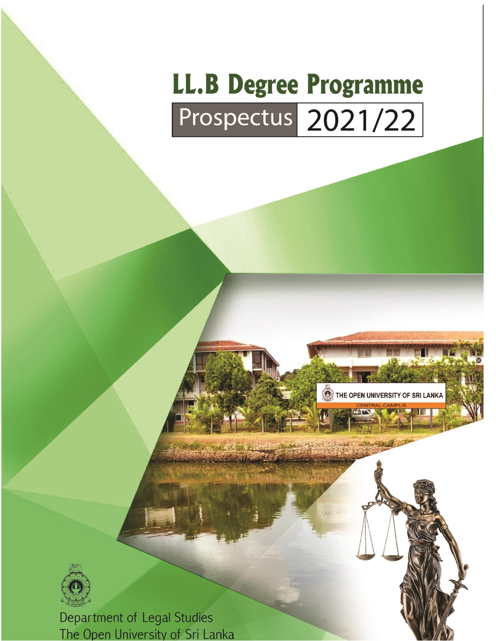# **LL.B Degree Programme** Prospectus 2021/22





Department of Legal Studies The Open University of Sri Lanka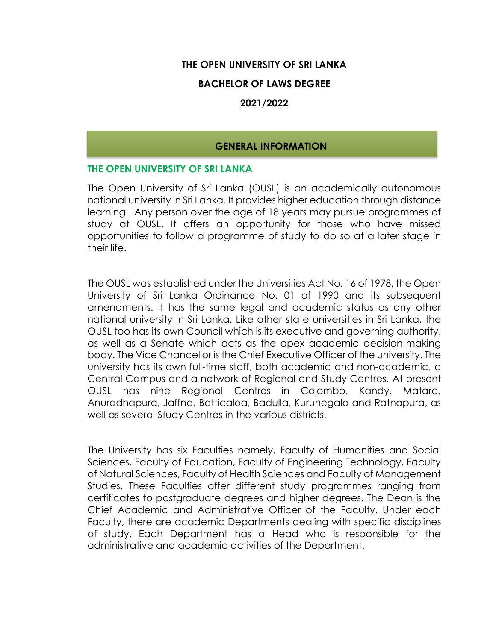## **THE OPEN UNIVERSITY OF SRI LANKA**

## **BACHELOR OF LAWS DEGREE**

## **2021/2022**

#### **GENERAL INFORMATION**

#### **THE OPEN UNIVERSITY OF SRI LANKA**

The Open University of Sri Lanka (OUSL) is an academically autonomous national university in Sri Lanka. It provides higher education through distance learning. Any person over the age of 18 years may pursue programmes of study at OUSL. It offers an opportunity for those who have missed opportunities to follow a programme of study to do so at a later stage in their life.

The OUSL was established under the Universities Act No. 16 of 1978, the Open University of Sri Lanka Ordinance No. 01 of 1990 and its subsequent amendments. It has the same legal and academic status as any other national university in Sri Lanka. Like other state universities in Sri Lanka, the OUSL too has its own Council which is its executive and governing authority, as well as a Senate which acts as the apex academic decision-making body. The Vice Chancellor is the Chief Executive Officer of the university. The university has its own full-time staff, both academic and non-academic, a Central Campus and a network of Regional and Study Centres. At present OUSL has nine Regional Centres in Colombo, Kandy, Matara, Anuradhapura, Jaffna, Batticaloa, Badulla, Kurunegala and Ratnapura, as well as several Study Centres in the various districts.

The University has six Faculties namely, Faculty of Humanities and Social Sciences, Faculty of Education, Faculty of Engineering Technology, Faculty of Natural Sciences, Faculty of Health Sciences and Faculty of Management Studies**.** These Faculties offer different study programmes ranging from certificates to postgraduate degrees and higher degrees. The Dean is the Chief Academic and Administrative Officer of the Faculty. Under each Faculty, there are academic Departments dealing with specific disciplines of study. Each Department has a Head who is responsible for the administrative and academic activities of the Department.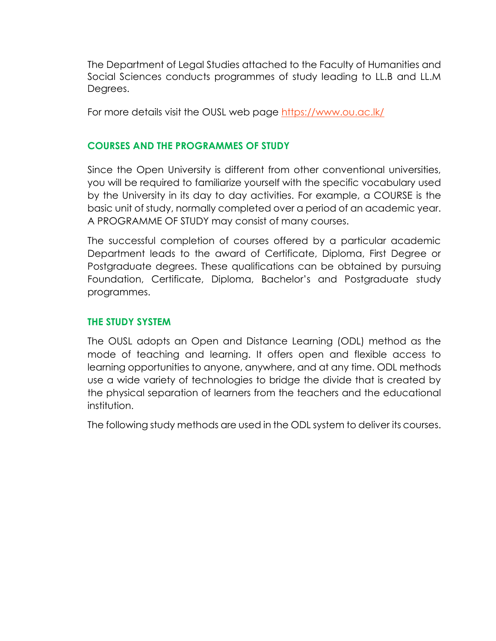The Department of Legal Studies attached to the Faculty of Humanities and Social Sciences conducts programmes of study leading to LL.B and LL.M Degrees.

For more details visit the OUSL web page<https://www.ou.ac.lk/>

# **COURSES AND THE PROGRAMMES OF STUDY**

Since the Open University is different from other conventional universities, you will be required to familiarize yourself with the specific vocabulary used by the University in its day to day activities. For example, a COURSE is the basic unit of study, normally completed over a period of an academic year. A PROGRAMME OF STUDY may consist of many courses.

The successful completion of courses offered by a particular academic Department leads to the award of Certificate, Diploma, First Degree or Postgraduate degrees. These qualifications can be obtained by pursuing Foundation, Certificate, Diploma, Bachelor's and Postgraduate study programmes.

## **THE STUDY SYSTEM**

The OUSL adopts an Open and Distance Learning (ODL) method as the mode of teaching and learning. It offers open and flexible access to learning opportunities to anyone, anywhere, and at any time. ODL methods use a wide variety of technologies to bridge the divide that is created by the physical separation of learners from the teachers and the educational institution.

The following study methods are used in the ODL system to deliver its courses.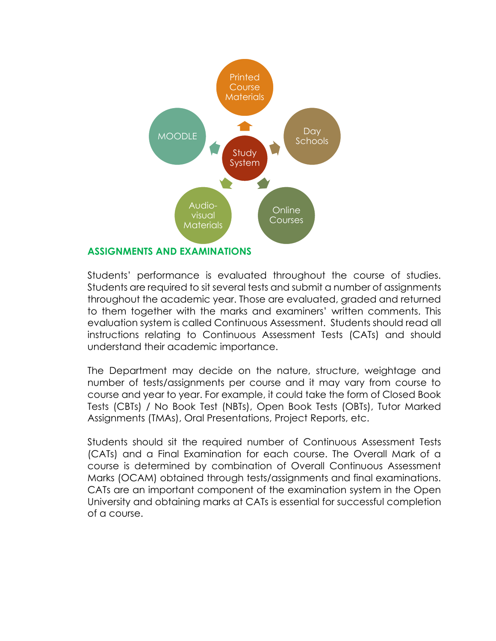

# Students' performance is evaluated throughout the course of studies. Students are required to sit several tests and submit a number of assignments throughout the academic year. Those are evaluated, graded and returned to them together with the marks and examiners' written comments. This evaluation system is called Continuous Assessment. Students should read all instructions relating to Continuous Assessment Tests (CATs) and should understand their academic importance.

The Department may decide on the nature, structure, weightage and number of tests/assignments per course and it may vary from course to course and year to year. For example, it could take the form of Closed Book Tests (CBTs) / No Book Test (NBTs), Open Book Tests (OBTs), Tutor Marked Assignments (TMAs), Oral Presentations, Project Reports, etc.

Students should sit the required number of Continuous Assessment Tests (CATs) and a Final Examination for each course. The Overall Mark of a course is determined by combination of Overall Continuous Assessment Marks (OCAM) obtained through tests/assignments and final examinations. CATs are an important component of the examination system in the Open University and obtaining marks at CATs is essential for successful completion of a course.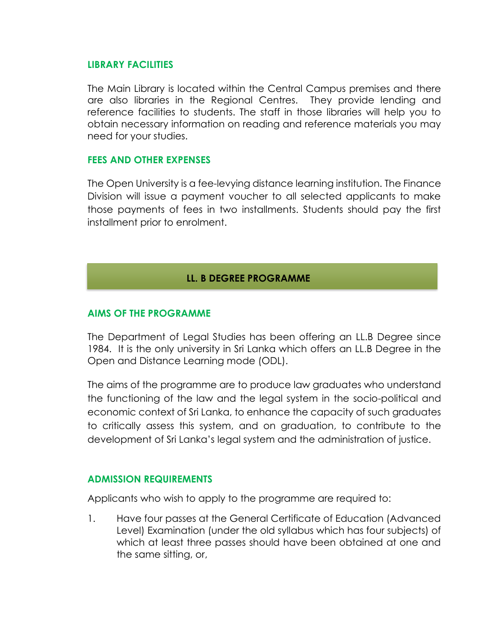#### **LIBRARY FACILITIES**

The Main Library is located within the Central Campus premises and there are also libraries in the Regional Centres. They provide lending and reference facilities to students. The staff in those libraries will help you to obtain necessary information on reading and reference materials you may need for your studies.

## **FEES AND OTHER EXPENSES**

The Open University is a fee-levying distance learning institution. The Finance Division will issue a payment voucher to all selected applicants to make those payments of fees in two installments. Students should pay the first installment prior to enrolment.

# **LL. B DEGREE PROGRAMME**

## **AIMS OF THE PROGRAMME**

The Department of Legal Studies has been offering an LL.B Degree since 1984. It is the only university in Sri Lanka which offers an LL.B Degree in the Open and Distance Learning mode (ODL).

The aims of the programme are to produce law graduates who understand the functioning of the law and the legal system in the socio-political and economic context of Sri Lanka, to enhance the capacity of such graduates to critically assess this system, and on graduation, to contribute to the development of Sri Lanka's legal system and the administration of justice.

#### **ADMISSION REQUIREMENTS**

Applicants who wish to apply to the programme are required to:

1. Have four passes at the General Certificate of Education (Advanced Level) Examination (under the old syllabus which has four subjects) of which at least three passes should have been obtained at one and the same sitting, or,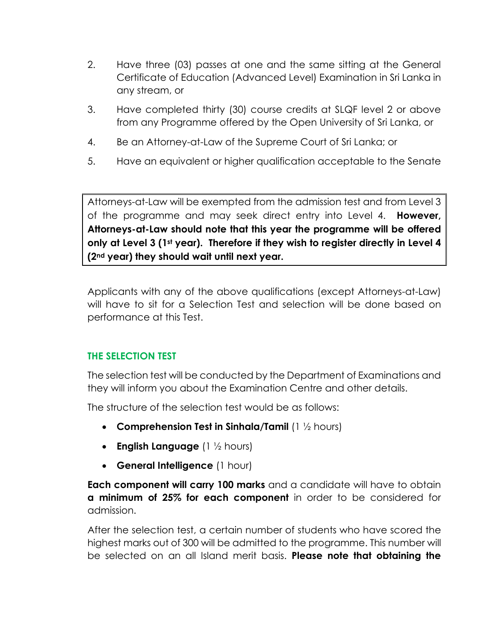- 2. Have three (03) passes at one and the same sitting at the General Certificate of Education (Advanced Level) Examination in Sri Lanka in any stream, or
- 3. Have completed thirty (30) course credits at SLQF level 2 or above from any Programme offered by the Open University of Sri Lanka, or
- 4. Be an Attorney-at-Law of the Supreme Court of Sri Lanka; or
- 5. Have an equivalent or higher qualification acceptable to the Senate

Attorneys-at-Law will be exempted from the admission test and from Level 3 of the programme and may seek direct entry into Level 4. **However, Attorneys-at-Law should note that this year the programme will be offered only at Level 3 (1st year). Therefore if they wish to register directly in Level 4 (2nd year) they should wait until next year.**

Applicants with any of the above qualifications (except Attorneys-at-Law) will have to sit for a Selection Test and selection will be done based on performance at this Test.

# **THE SELECTION TEST**

The selection test will be conducted by the Department of Examinations and they will inform you about the Examination Centre and other details.

The structure of the selection test would be as follows:

- **Comprehension Test in Sinhala/Tamil** (1 ½ hours)
- **English Language** (1 ½ hours)
- **General Intelligence** (1 hour)

**Each component will carry 100 marks** and a candidate will have to obtain **a minimum of 25% for each component** in order to be considered for admission.

After the selection test, a certain number of students who have scored the highest marks out of 300 will be admitted to the programme. This number will be selected on an all Island merit basis. **Please note that obtaining the**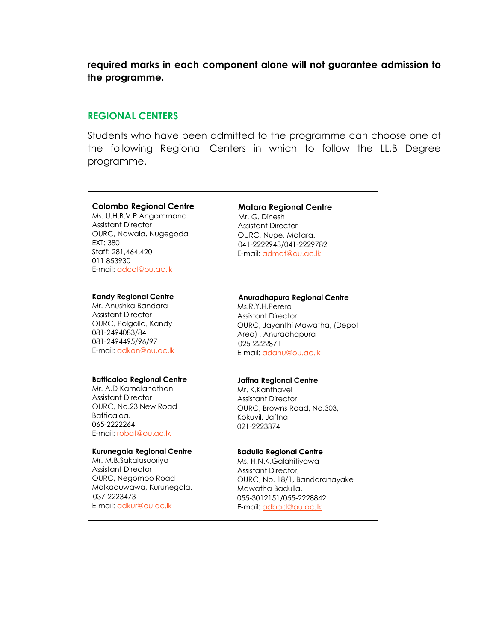**required marks in each component alone will not guarantee admission to the programme.** 

## **REGIONAL CENTERS**

Students who have been admitted to the programme can choose one of the following Regional Centers in which to follow the LL.B Degree programme.

| <b>Colombo Regional Centre</b><br>Ms. U.H.B.V.P Angammana<br><b>Assistant Director</b><br>OURC, Nawala, Nugegoda<br>EXT: 380<br>Staff: 281,464,420<br>011853930<br>E-mail: adcol@ou.ac.lk | <b>Matara Regional Centre</b><br>Mr. G. Dinesh<br><b>Assistant Director</b><br>OURC, Nupe, Matara.<br>041-2222943/041-2229782<br>E-mail: admat@ou.ac.lk |
|-------------------------------------------------------------------------------------------------------------------------------------------------------------------------------------------|---------------------------------------------------------------------------------------------------------------------------------------------------------|
| <b>Kandy Regional Centre</b>                                                                                                                                                              | <b>Anuradhapura Regional Centre</b>                                                                                                                     |
| Mr. Anushka Bandara                                                                                                                                                                       | Ms.R.Y.H.Perera                                                                                                                                         |
| <b>Assistant Director</b>                                                                                                                                                                 | <b>Assistant Director</b>                                                                                                                               |
| OURC, Polgolla, Kandy                                                                                                                                                                     | OURC, Jayanthi Mawatha, (Depot                                                                                                                          |
| 081-2494083/84                                                                                                                                                                            | Area), Anuradhapura                                                                                                                                     |
| 081-2494495/96/97                                                                                                                                                                         | 025-2222871                                                                                                                                             |
| E-mail: adkan@ou.ac.lk                                                                                                                                                                    | E-mail: adanu@ou.ac.lk                                                                                                                                  |
| <b>Batticaloa Regional Centre</b><br>Mr. A.D Kamalanathan<br><b>Assistant Director</b><br>OURC, No.23 New Road<br>Batticaloa.<br>065-2222264<br>E-mail: robat@ou.ac.lk                    | <b>Jaffna Regional Centre</b><br>Mr. K.Kanthavel<br><b>Assistant Director</b><br>OURC, Browns Road, No.303,<br>Kokuvil, Jaffna<br>021-2223374           |
| Kurunegala Regional Centre                                                                                                                                                                | <b>Badulla Regional Centre</b>                                                                                                                          |
| Mr. M.B.Sakalasooriya                                                                                                                                                                     | Ms. H.N.K.Galahitiyawa                                                                                                                                  |
| <b>Assistant Director</b>                                                                                                                                                                 | Assistant Director,                                                                                                                                     |
| OURC, Negombo Road                                                                                                                                                                        | OURC, No. 18/1, Bandaranayake                                                                                                                           |
| Malkaduwawa, Kurunegala.                                                                                                                                                                  | Mawatha Badulla.                                                                                                                                        |
| 037-2223473                                                                                                                                                                               | 055-3012151/055-2228842                                                                                                                                 |
| E-mail: adkur@ou.ac.lk                                                                                                                                                                    | E-mail: adbad@ou.ac.lk                                                                                                                                  |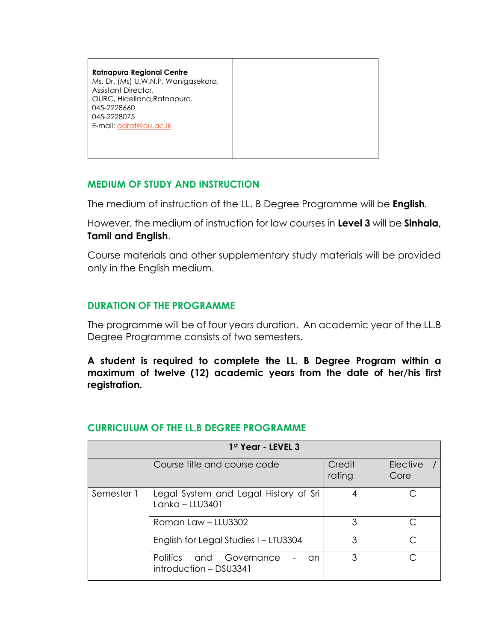**Ratnapura Regional Centre**  Ms. Dr. (Ms) U.W.N.P. Wanigasekara, Assistant Director, OURC, Hidellana,Ratnapura. 045-2228660 045-2228075 E-mail[: adrat@ou.ac.lk](mailto:adrat@ou.ac.lk)

# **MEDIUM OF STUDY AND INSTRUCTION**

The medium of instruction of the LL. B Degree Programme will be **English***.* 

However, the medium of instruction for law courses in **Level 3** will be **Sinhala, Tamil and English**.

Course materials and other supplementary study materials will be provided only in the English medium.

# **DURATION OF THE PROGRAMME**

The programme will be of four years duration. An academic year of the LL.B Degree Programme consists of two semesters.

**A student is required to complete the LL. B Degree Program within a maximum of twelve (12) academic years from the date of her/his first registration.** 

|            | 1st Year - LEVEL 3                                         |                  |                         |
|------------|------------------------------------------------------------|------------------|-------------------------|
|            | Course title and course code                               | Credit<br>rating | <b>Elective</b><br>Core |
| Semester 1 | Legal System and Legal History of Sri<br>$Lanka - LLU3401$ | 4                |                         |
|            | Roman Law - LLU3302                                        | 3                |                         |
|            | English for Legal Studies I - LTU3304                      | 3                |                         |
|            | Politics and Governance<br>an<br>introduction - DSU3341    | 3                |                         |

# **CURRICULUM OF THE LL.B DEGREE PROGRAMME**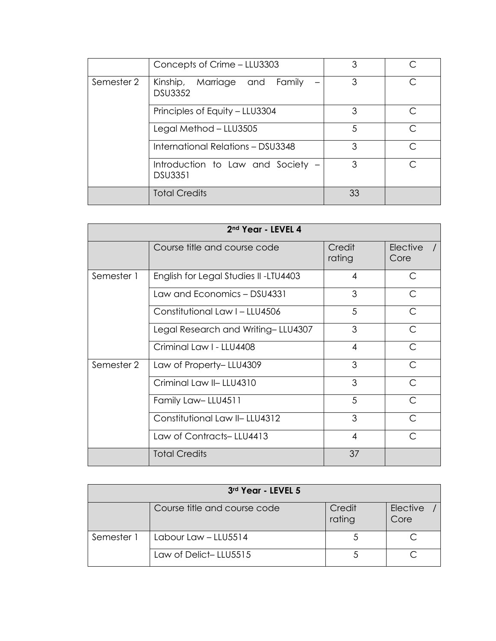|            | Concepts of Crime - LLU3303                         | 3  |           |
|------------|-----------------------------------------------------|----|-----------|
| Semester 2 | Kinship, Marriage and Family<br><b>DSU3352</b>      | 3  |           |
|            | Principles of Equity - LLU3304                      | 3  |           |
|            | Legal Method – LLU3505                              | 5  |           |
|            | International Relations - DSU3348                   | 3  | $\subset$ |
|            | Introduction to Law and Society -<br><b>DSU3351</b> | 3  |           |
|            | <b>Total Credits</b>                                | 33 |           |

|            | 2nd Year - LEVEL 4                   |                  |                  |
|------------|--------------------------------------|------------------|------------------|
|            | Course title and course code         | Credit<br>rating | Elective<br>Core |
| Semester 1 | English for Legal Studies II-LTU4403 | $\overline{A}$   | C                |
|            | Law and Economics - DSU4331          | 3                | C                |
|            | Constitutional Law I - LLU4506       | 5                | C                |
|            | Legal Research and Writing-LLU4307   | 3                | $\subset$        |
|            | Criminal Law I - LLU4408             | $\overline{4}$   | C                |
| Semester 2 | Law of Property-LLU4309              | 3                | C                |
|            | Criminal Law II-LLU4310              | 3                | C                |
|            | Family Law-LLU4511                   | 5                | ⌒                |
|            | Constitutional Law II-LLU4312        | 3                | C                |
|            | Law of Contracts-LLU4413             | $\overline{4}$   | $\subset$        |
|            | <b>Total Credits</b>                 | 37               |                  |

|            | 3rd Year - LEVEL 5           |                  |                  |
|------------|------------------------------|------------------|------------------|
|            | Course title and course code | Credit<br>rating | Elective<br>Core |
| Semester 1 | Labour Law - LLU5514         |                  |                  |
|            | Law of Delict-LLU5515        |                  |                  |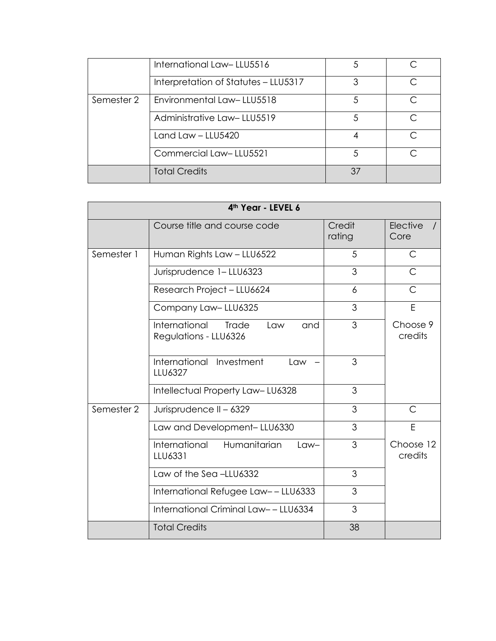|            | International Law-LLU5516            | 5  |  |
|------------|--------------------------------------|----|--|
|            | Interpretation of Statutes - LLU5317 | 3  |  |
| Semester 2 | Environmental Law-LLU5518            | 5  |  |
|            | Administrative Law-LLU5519           | 5  |  |
|            | Land Law - LLU5420                   |    |  |
|            | Commercial Law-LLU5521               | .5 |  |
|            | <b>Total Credits</b>                 | 37 |  |

|            | 4th Year - LEVEL 6                                                   |                  |                      |
|------------|----------------------------------------------------------------------|------------------|----------------------|
|            | Course title and course code                                         | Credit<br>rating | Elective<br>Core     |
| Semester 1 | Human Rights Law - LLU6522                                           | 5                | C                    |
|            | Jurisprudence 1-LLU6323                                              | 3                | $\mathsf{C}$         |
|            | Research Project - LLU6624                                           | 6                | C                    |
|            | Company Law-LLU6325                                                  | 3                | E                    |
|            | International<br><b>Trade</b><br>and<br>Law<br>Regulations - LLU6326 | 3                | Choose 9<br>credits  |
|            | International Investment<br>Law<br>LLU6327                           | 3                |                      |
|            | Intellectual Property Law-LU6328                                     | 3                |                      |
| Semester 2 | Jurisprudence II - 6329                                              | 3                | $\mathsf{C}$         |
|            | Law and Development-LLU6330                                          | 3                | E                    |
|            | International<br>Humanitarian<br>$Law-$<br>LLU6331                   | 3                | Choose 12<br>credits |
|            | Law of the Sea-LLU6332                                               | 3                |                      |
|            | International Refugee Law--LLU6333                                   | 3                |                      |
|            | International Criminal Law--LLU6334                                  | 3                |                      |
|            | <b>Total Credits</b>                                                 | 38               |                      |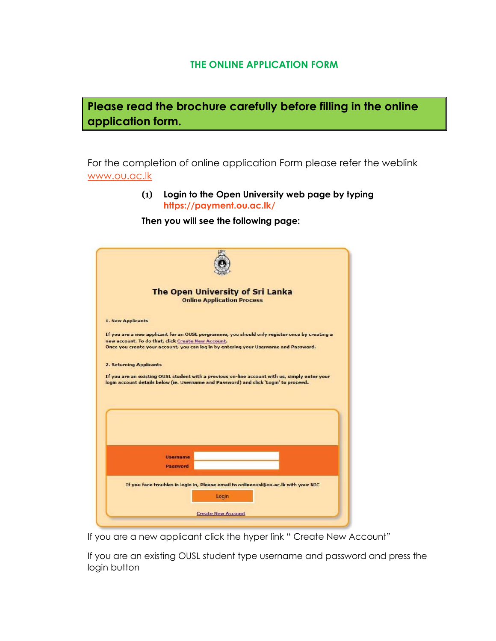## **THE ONLINE APPLICATION FORM**



For the completion of online application Form please refer the weblink [www.ou.ac.lk](http://www.ou.ac.lk/)

> **(1) Login to the Open University web page by typing <https://payment.ou.ac.lk/>**

**Then you will see the following page:**

|                                | <b>The Open University of Sri Lanka</b>                                                                                                                                                 |
|--------------------------------|-----------------------------------------------------------------------------------------------------------------------------------------------------------------------------------------|
|                                | <b>Online Application Process</b>                                                                                                                                                       |
| 1. New Applicants              |                                                                                                                                                                                         |
|                                |                                                                                                                                                                                         |
|                                | If you are a new applicant for an OUSL porgramme, you should only register once by creating a<br>new account. To do that, click Create New Account.                                     |
|                                | Once you create your account, you can log in by entering your Username and Password.                                                                                                    |
| <b>2. Returning Applicants</b> |                                                                                                                                                                                         |
|                                | If you are an existing OUSL student with a previous on-line account with us, simply enter your<br>login account details below (ie. Username and Password) and click 'Login' to proceed. |
|                                |                                                                                                                                                                                         |
|                                |                                                                                                                                                                                         |
|                                |                                                                                                                                                                                         |
|                                |                                                                                                                                                                                         |
|                                |                                                                                                                                                                                         |
|                                | <b>Username</b>                                                                                                                                                                         |
|                                | Password                                                                                                                                                                                |
|                                | If you face troubles in login in, Please email to onlineousl@ou.ac.lk with your NIC                                                                                                     |

If you are a new applicant click the hyper link " Create New Account"

If you are an existing OUSL student type username and password and press the login button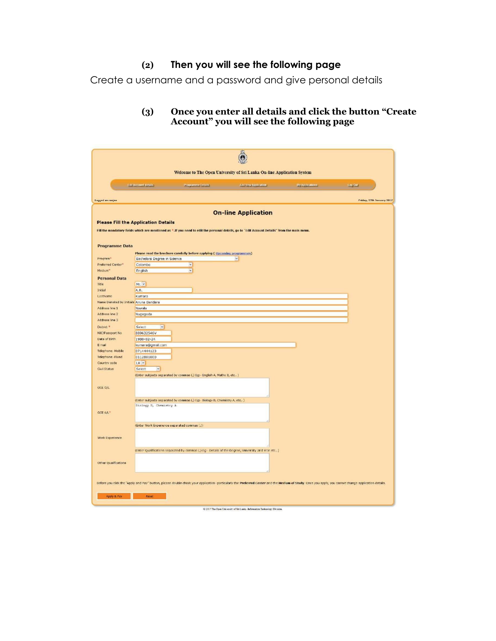# **(2) Then you will see the following page**

Create a username and a password and give personal details

#### **(3) Once you enter all details and click the button "Create Account" you will see the following page**

|                                        |                                              |                                                                            | Welcome to The Open University of Sri Lanka On-line Application System                                                                        |                                                                                                                                                                                                      |                           |
|----------------------------------------|----------------------------------------------|----------------------------------------------------------------------------|-----------------------------------------------------------------------------------------------------------------------------------------------|------------------------------------------------------------------------------------------------------------------------------------------------------------------------------------------------------|---------------------------|
|                                        | Edit Account details                         | Programme Details                                                          | Add New Application                                                                                                                           | My Applications                                                                                                                                                                                      | Log Out                   |
| Logged as ranjan                       |                                              |                                                                            |                                                                                                                                               |                                                                                                                                                                                                      | Friday, 27th January 2017 |
|                                        |                                              |                                                                            | <b>On-line Application</b>                                                                                                                    |                                                                                                                                                                                                      |                           |
|                                        | <b>Please Fill the Application Details</b>   |                                                                            |                                                                                                                                               |                                                                                                                                                                                                      |                           |
|                                        |                                              |                                                                            | Fill the mandatory fields which are mentioned as ".If you need to edit the personal details, go to "Edit Account Details" from the main menu. |                                                                                                                                                                                                      |                           |
| <b>Programme Data</b>                  |                                              |                                                                            |                                                                                                                                               |                                                                                                                                                                                                      |                           |
| Program <sup>-</sup>                   | Bachelors Degree in Science                  | Please read the brochure carefully before applying ( Uncoming programmes)  | ×                                                                                                                                             |                                                                                                                                                                                                      |                           |
| Preferred Center*                      | Colombo                                      | $\checkmark$                                                               |                                                                                                                                               |                                                                                                                                                                                                      |                           |
| Medium <sup>®</sup>                    | English                                      | <b>W</b>                                                                   |                                                                                                                                               |                                                                                                                                                                                                      |                           |
| <b>Personal Data</b>                   |                                              |                                                                            |                                                                                                                                               |                                                                                                                                                                                                      |                           |
| Title                                  | Mr. $\vee$                                   |                                                                            |                                                                                                                                               |                                                                                                                                                                                                      |                           |
| Initial                                | A.B.                                         |                                                                            |                                                                                                                                               |                                                                                                                                                                                                      |                           |
| LastName                               | Kumara                                       |                                                                            |                                                                                                                                               |                                                                                                                                                                                                      |                           |
| Name Denoted by Initials Aruna Bandara |                                              |                                                                            |                                                                                                                                               |                                                                                                                                                                                                      |                           |
| Address line 1                         | Nawala                                       |                                                                            |                                                                                                                                               |                                                                                                                                                                                                      |                           |
| Address line 2                         | Nugegoda                                     |                                                                            |                                                                                                                                               |                                                                                                                                                                                                      |                           |
| Address line 3                         |                                              |                                                                            |                                                                                                                                               |                                                                                                                                                                                                      |                           |
| District *                             | $\overline{\mathbf{v}}$<br>Select            |                                                                            |                                                                                                                                               |                                                                                                                                                                                                      |                           |
| NIC/Passport No.                       | 889632546V                                   |                                                                            |                                                                                                                                               |                                                                                                                                                                                                      |                           |
| Date of Birth                          | 1988-02-24                                   |                                                                            |                                                                                                                                               |                                                                                                                                                                                                      |                           |
| E mail<br>Telephone -Mobile            | kumara@gmail.com<br>0714444123               |                                                                            |                                                                                                                                               |                                                                                                                                                                                                      |                           |
| Telephone - Fixed                      | 0112881000                                   |                                                                            |                                                                                                                                               |                                                                                                                                                                                                      |                           |
| Country code                           | LK -                                         |                                                                            |                                                                                                                                               |                                                                                                                                                                                                      |                           |
| Civil Status                           | Select<br>$\overline{\mathbf{v}}$            |                                                                            |                                                                                                                                               |                                                                                                                                                                                                      |                           |
|                                        |                                              | (Enter subjects separated by commas (,) Eg:- English A, Maths B, etc )     |                                                                                                                                               |                                                                                                                                                                                                      |                           |
|                                        |                                              |                                                                            |                                                                                                                                               |                                                                                                                                                                                                      |                           |
| GCE O/L                                |                                              |                                                                            |                                                                                                                                               |                                                                                                                                                                                                      |                           |
|                                        |                                              | (Enter subjects separated by commas (,) Eg:- Biology B, Chemistry A, etc ) |                                                                                                                                               |                                                                                                                                                                                                      |                           |
|                                        | Biology B, Chemistry A                       |                                                                            |                                                                                                                                               |                                                                                                                                                                                                      |                           |
| GCE A/L"                               |                                              |                                                                            |                                                                                                                                               |                                                                                                                                                                                                      |                           |
|                                        |                                              |                                                                            |                                                                                                                                               |                                                                                                                                                                                                      |                           |
|                                        | (Enter Work Experience separated commas (.)) |                                                                            |                                                                                                                                               |                                                                                                                                                                                                      |                           |
| Work Experience                        |                                              |                                                                            |                                                                                                                                               |                                                                                                                                                                                                      |                           |
|                                        |                                              |                                                                            |                                                                                                                                               |                                                                                                                                                                                                      |                           |
|                                        |                                              |                                                                            | (Enter Qualifications separated by commas (,) Eg: Details of the Degree, University and Year etc)                                             |                                                                                                                                                                                                      |                           |
| Other Qualifications                   |                                              |                                                                            |                                                                                                                                               |                                                                                                                                                                                                      |                           |
|                                        |                                              |                                                                            |                                                                                                                                               | Before you click the "Apply and Pay" button, please double check your application--particularly the Preferred Center and the Medium of Study. Once you apply, you cannot change application details. |                           |
| Apply & Pay                            | Reset                                        |                                                                            |                                                                                                                                               |                                                                                                                                                                                                      |                           |

 $\hbox{C}$  2017 The Open University of Sri Luska -Information Technology Division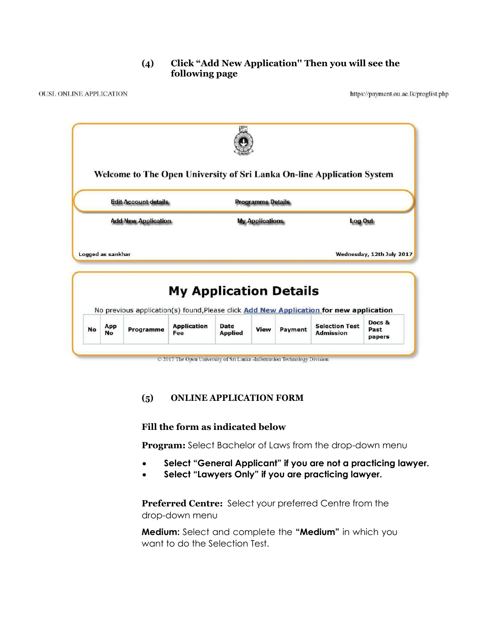## **(4) Click "Add New Application'' Then you will see the following page**

|                            |  | <b>Edit Account details</b><br><b>Programme Details</b> |                        |  |                |  |                           |
|----------------------------|--|---------------------------------------------------------|------------------------|--|----------------|--|---------------------------|
| <b>Add New Application</b> |  |                                                         | <b>My Applications</b> |  | <b>Log Out</b> |  |                           |
| Logged as sankhar          |  |                                                         |                        |  |                |  | Wednesday, 12th July 2017 |
|                            |  |                                                         |                        |  |                |  |                           |

C 2017 The Open University of Sri Lanka -Information Technology Division

#### **(5) ONLINE APPLICATION FORM**

#### **Fill the form as indicated below**

**Program:** Select Bachelor of Laws from the drop-down menu

- **Select "General Applicant" if you are not a practicing lawyer.**
- **Select "Lawyers Only" if you are practicing lawyer.**

**Preferred Centre:** Select your preferred Centre from the drop-down menu

**Medium:** Select and complete the **"Medium"** in which you want to do the Selection Test.